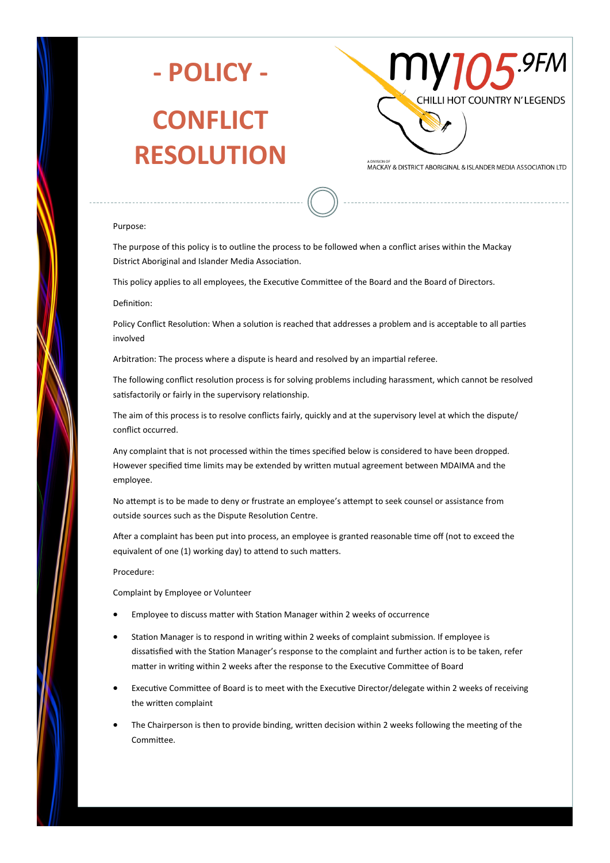

# **- POLICY - CONFLICT RESOLUTION**



MACKAY & DISTRICT ABORIGINAL & ISLANDER MEDIA ASSOCIATION LTD

#### Purpose:

The purpose of this policy is to outline the process to be followed when a conflict arises within the Mackay District Aboriginal and Islander Media Association.

This policy applies to all employees, the Executive Committee of the Board and the Board of Directors.

#### Definition:

Policy Conflict Resolution: When a solution is reached that addresses a problem and is acceptable to all parties involved

Arbitration: The process where a dispute is heard and resolved by an impartial referee.

The following conflict resolution process is for solving problems including harassment, which cannot be resolved satisfactorily or fairly in the supervisory relationship.

The aim of this process is to resolve conflicts fairly, quickly and at the supervisory level at which the dispute/ conflict occurred.

Any complaint that is not processed within the times specified below is considered to have been dropped. However specified time limits may be extended by written mutual agreement between MDAIMA and the employee.

No attempt is to be made to deny or frustrate an employee's attempt to seek counsel or assistance from outside sources such as the Dispute Resolution Centre.

After a complaint has been put into process, an employee is granted reasonable time off (not to exceed the equivalent of one (1) working day) to attend to such matters.

#### Procedure:

Complaint by Employee or Volunteer

- Employee to discuss matter with Station Manager within 2 weeks of occurrence
- Station Manager is to respond in writing within 2 weeks of complaint submission. If employee is dissatisfied with the Station Manager's response to the complaint and further action is to be taken, refer matter in writing within 2 weeks after the response to the Executive Committee of Board
- Executive Committee of Board is to meet with the Executive Director/delegate within 2 weeks of receiving the written complaint
- The Chairperson is then to provide binding, written decision within 2 weeks following the meeting of the Committee.